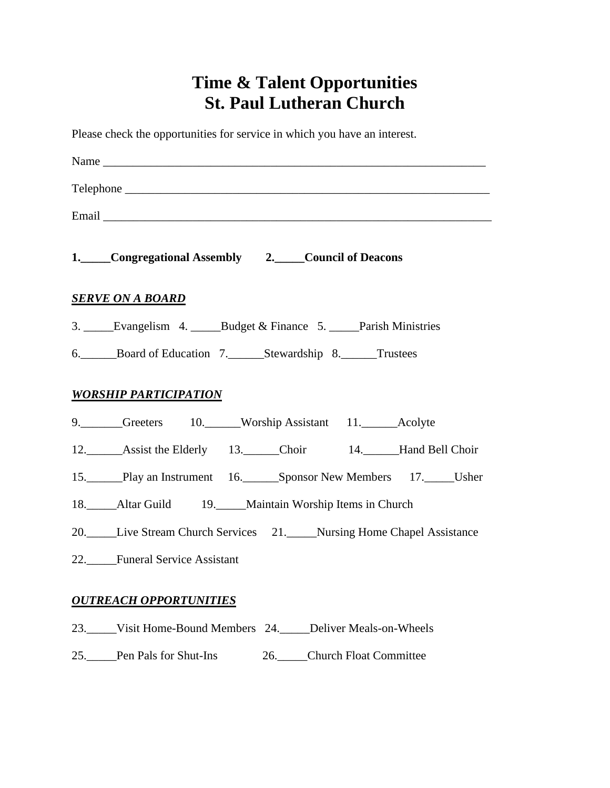# **Time & Talent Opportunities St. Paul Lutheran Church**

Please check the opportunities for service in which you have an interest.

| Name $\Box$                                                        |
|--------------------------------------------------------------------|
|                                                                    |
|                                                                    |
| 1. Congregational Assembly 2. Council of Deacons                   |
| <b>SERVE ON A BOARD</b>                                            |
| 3. Evangelism 4. _____Budget & Finance 5. _____Parish Ministries   |
| 6. Board of Education 7. Stewardship 8. Trustees                   |
| <b>WORSHIP PARTICIPATION</b>                                       |
| 9. Greeters 10. Worship Assistant 11. Acolyte                      |
| 12. Assist the Elderly 13. Choir 14. Hand Bell Choir               |
| 15. Play an Instrument 16. Sponsor New Members 17. Usher           |
| 18. Altar Guild 19. Maintain Worship Items in Church               |
| 20. Live Stream Church Services 21. Nursing Home Chapel Assistance |
| 22. Funeral Service Assistant                                      |
| <b>OUTREACH OPPORTUNITIES</b>                                      |

- 23.\_\_\_\_\_Visit Home-Bound Members 24.\_\_\_\_\_Deliver Meals-on-Wheels
- 25.\_\_\_\_\_Pen Pals for Shut-Ins 26.\_\_\_\_\_Church Float Committee